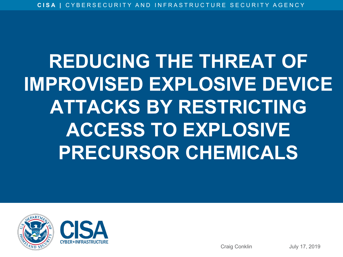### **REDUCING THE THREAT OF IMPROVISED EXPLOSIVE DEVICE ATTACKS BY RESTRICTING ACCESS TO EXPLOSIVE PRECURSOR CHEMICALS**



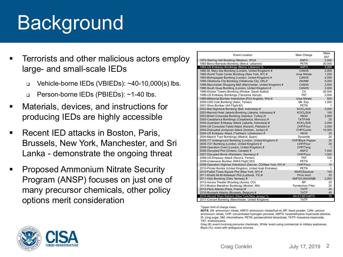### Background

- Terrorists and other malicious actors employ large- and small-scale IEDs
	- Vehicle-borne IEDs (VBIEDs): ~40-10,000(s) lbs.
	- □ Person-borne IEDs (PBIEDs): ~1-40 lbs.
- Materials, devices, and instructions for producing IEDs are highly accessible
- Recent IED attacks in Boston, Paris, Brussels, New York, Manchester, and Sri Lanka - demonstrate the ongoing threat
- Proposed Ammonium Nitrate Security Program (ANSP) focuses on just one of many precursor chemicals, other policy options merit consideration

|                                                                                     |                                      | Mass         |
|-------------------------------------------------------------------------------------|--------------------------------------|--------------|
| Event Location                                                                      | Main Charge                          | $(Ib)^*$     |
| 1970-Sterling Hall Bombing (Madison, WI)#                                           | <b>ANFO</b>                          | 2,000        |
| 1983-Beirut Barracks Bombing (Beirut, Lebanon)                                      | <b>PETN</b>                          | 20,000       |
| 1983-US Embassy Bombings (Beirut, Lebanon) %                                        | <b>ANFO</b>                          | 2,000        |
| 1992-St. Mary Axe Bombing (London, United Kingdom) #                                | CAN/IS                               | 2.000        |
| 1993-World Trade Center Bombing (New York, NY) #                                    | <b>Urea Nitrate</b>                  | 1.200        |
| 1993-Bishopsgate Bombing (London, United Kingdom) #                                 | CAN/IS                               | 4,000        |
| 1995-Oklahoma City Bombing (Oklahoma City, OK) #                                    | AN/NM                                | 5,000        |
| 1996-Manchester Shopping Mall (Manchester, United Kingdom) #                        | CAN/IS                               | 3,000        |
| 1996-South Quay Bombing (London, United Kingdom) #                                  | CAN/IS                               | 3,000        |
| 1996-Khobar Towers Bombing (Khobar, Saudi Arabia)                                   | C <sub>4</sub>                       | 20,000       |
| 1998-US Embassy Bombings (Tanzania, Kenya)                                          | <b>TNT</b>                           | 2,000        |
| 1999-Millennial Bomber Interdiction (Port Angeles, WA) #                            | Urea Nitrate                         | 500          |
| 2000-USS Cole Bombing (Aden, Yemen)                                                 | Mil. Exp.                            | 1.000        |
| 2001-Shoe Bomber (AA Flight 63)                                                     | <b>PETN</b>                          |              |
| 2002-Bali Nightclub Bombing (Bali, Indonesia) #                                     | KCIO <sub>3</sub> /S/AI              | 2.000        |
| 2003-Marriott Hotel Jakarta Bombing (Jakarta, Indonesia) #                          | KCIO <sub>3</sub> /S/AI              | 100          |
| 2003-Britsh Consulate Bombing (Istanbul, Turkey) #                                  | AN/AI                                | 2,000        |
| 2003-Casablanca Bombings (Casablanca, Morocco) #                                    | <b>TATP/AN</b>                       | 20           |
| 2004-Australian Embassy Attack (Jakarta, Indonesia) #                               | KCIO <sub>3</sub> /S/AI              | 2,000        |
| 2004-US Consulate Failed Attack (Karachi, Pakistan) #                               | CHP/Flour                            | 2,000        |
| 2004-Distrupted Jordanian Attack (Amman, Jordan)#                                   | CHP/Cumin                            | 10,000       |
| 2004-US Embassy Attack (Tashkent, Uzbekistan) #                                     | AN/AI                                | 20           |
| 2004-Madrid Train Bombings (Madrid, Spain)                                          | Dynamite                             | 20           |
| 2005-7/7 Underground Bombing (London, United Kingdom) #                             | <b>CHP/Black Pepper</b>              | 20           |
| 2005-7/21 Bombing (London, United Kingdom) #                                        | <b>CHP/Flour</b>                     | 20           |
| 2006-Operation Overt (London, United Kingdom) #                                     | CHP/Tang                             | $\mathbf{1}$ |
| 2006-Disrupted Plot (Ontario, Canada) #                                             | <b>ANFO</b>                          | 7,000        |
| 2007-Disrupted Bomb (Ramstein, Germany) #                                           | CHP/Flour                            | 1,000        |
| 2008-US Empassy Attack (Sana'a, Yemen)                                              | <b>TNT</b>                           | 100          |
| 2009-Underwear Bomber (NWA Flight 253)                                              | <b>PETN</b>                          | 1            |
| 2009-Operation Highrise Interdiction (Denver, CO/New York, NY) #                    | CHP/Flour                            | 10           |
| 2010-Printer Bombs (United Kingdom, United Arab Emirates)                           | <b>PETN</b>                          | 1<br>100     |
| 2010-Failed Times Square Plot (New York, NY) #                                      | AN/IS/Sawdust                        |              |
| 2011-Khalid Ali-M Aldawsari Plot (Lubbock, TX) #                                    | <b>Picric Acid</b><br>ANFO/CAN/AI/MB | 20<br>2,000  |
| 2011-Oslo Bombing (Oslo, Norway) #                                                  | <b>BP</b>                            |              |
| 2012-Aurora Theater Shooting (Aurora, CO)                                           |                                      | 20<br>20     |
| 2013-Boston Marathon Bombings (Boston, MA)                                          | Pyrotechnic Filler                   | 20           |
| 2015-Paris Attacks (Paris, France) #<br>2016-Brussels Attacks (Brussels, Belgium) # | <b>TATP</b><br><b>TATP</b>           | 40           |
| 2016-Ahmad Khan Rahami (New York/New Jersey) %                                      | AN ET/BP/HMTD                        | 10           |
| 2017-Concert Bombing (Manchester, United Kingdom)                                   | <b>TATP</b>                          |              |
|                                                                                     |                                      |              |

\*Upper limit of charge mass.

**NOTE**: AN: ammonium nitrate, ANFO: ammonium nitrate/fuel oil, BP: black powder, CAN: calcium ammonium nitrate, CHP: concentrated hydrogen peroxide, HMTD: hexamethylene triperoxide diamine, IS: icing sugar, NM: nitromethane, PETN: pentaerythritol tetranitrate, TATP: triacetone triperoxide, TNT: trinitrotoluene.

Gray (#): event involving precursor chemicals. White: event using commercial or military explosives. Black (%): event with ambiguous sources.

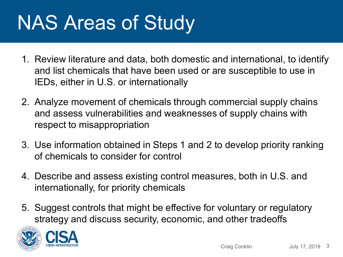## NAS Areas of Study

- 1. Review literature and data, both domestic and international, to identify and list chemicals that have been used or are susceptible to use in IEDs, either in U.S. or internationally
- 2. Analyze movement of chemicals through commercial supply chains and assess vulnerabilities and weaknesses of supply chains with respect to misappropriation
- 3. Use information obtained in Steps 1 and 2 to develop priority ranking of chemicals to consider for control
- 4. Describe and assess existing control measures, both in U.S. and internationally, for priority chemicals
- 5. Suggest controls that might be effective for voluntary or regulatory strategy and discuss security, economic, and other tradeoffs



3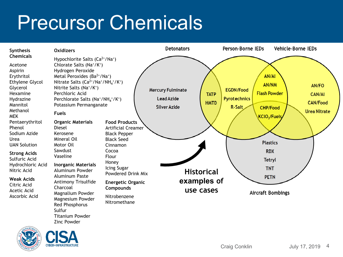### Precursor Chemicals

| <b>Synthesis</b>                                                                                                                                                                                                                                                                                                                                                               | <b>Oxidizers</b>                                                                                                                                                                                                                                                                                                                                                                                                                                                                                                                                                                                                                                                                                                                     |                                                                                                                                                                                                                                                    | <b>Detonators</b>                                                                                                                                   | Person-Borne IEDs                                 | Vehicle-Borne IEDs                                                                                                                                                                                                                                                         |
|--------------------------------------------------------------------------------------------------------------------------------------------------------------------------------------------------------------------------------------------------------------------------------------------------------------------------------------------------------------------------------|--------------------------------------------------------------------------------------------------------------------------------------------------------------------------------------------------------------------------------------------------------------------------------------------------------------------------------------------------------------------------------------------------------------------------------------------------------------------------------------------------------------------------------------------------------------------------------------------------------------------------------------------------------------------------------------------------------------------------------------|----------------------------------------------------------------------------------------------------------------------------------------------------------------------------------------------------------------------------------------------------|-----------------------------------------------------------------------------------------------------------------------------------------------------|---------------------------------------------------|----------------------------------------------------------------------------------------------------------------------------------------------------------------------------------------------------------------------------------------------------------------------------|
| <b>Chemicals</b><br>Acetone<br>Aspirin<br>Erythritol<br>Ethylene Glycol<br>Glycerol<br>Hexamine<br>Hydrazine<br>Mannitol<br>Methanol<br><b>MEK</b><br>Pentaerythritol<br>Phenol<br>Sodium Azide<br>Urea<br><b>UAN Solution</b><br><b>Strong Acids</b><br>Sulfuric Acid<br>Hydrochloric Acid<br>Nitric Acid<br><b>Weak Acids</b><br>Citric Acid<br>Acetic Acid<br>Ascorbic Acid | Hypochlorite Salts (Ca <sup>2+</sup> /Na <sup>+</sup> )<br>Chlorate Salts (Na <sup>+</sup> /K <sup>+</sup> )<br>Hydrogen Peroxide<br>Metal Peroxides (Ba <sup>2+</sup> /Na <sup>+</sup> )<br>Nitrate Salts $(Ca^{2+}/Na^{+}/NH_{4}^{+}/K^{+})$<br>Nitrite Salts (Na <sup>+</sup> /K <sup>+</sup> )<br>Perchloric Acid<br>Perchlorate Salts (Na <sup>+</sup> /NH <sub>4</sub> <sup>+</sup> /K <sup>+</sup> )<br>Potassium Permanganate<br><b>Fuels</b><br><b>Organic Materials</b><br>Diesel<br>Kerosene<br>Mineral Oil<br>Motor Oil<br>Sawdust<br>Vaseline<br><b>Inorganic Materials</b><br>Aluminum Powder<br>Aluminum Paste<br>Antimony Trisulfide<br>Charcoal<br>Magnalium Powder<br>Magnesium Powder<br>Red Phosphorus<br>Sulfur | <b>Food Products</b><br><b>Artificial Creamer</b><br><b>Black Pepper</b><br><b>Black Seed</b><br>Cinnamon<br>Cocoa<br>Flour<br>Honey<br>Icing Sugar<br>Powdered Drink Mix<br><b>Energetic Organic</b><br>Compounds<br>Nitrobenzene<br>Nitromethane | <b>Mercury Fulminate</b><br><b>TATP</b><br><b>Lead Azide</b><br><b>HMTD</b><br><b>Silver Azide</b><br><b>Historical</b><br>examples of<br>use cases | <b>EGDN/Food</b><br><b>Pyrotechnics</b><br>R-Salt | <b>AN/AI</b><br><b>AN/NM</b><br>AN/FO<br><b>Flash Powder</b><br><b>CAN/AI</b><br><b>CAN/Food</b><br><b>CHP/Food</b><br><b>Urea Nitrate</b><br>KCIO <sub>3</sub> /Fuels<br><b>Plastics</b><br><b>RDX</b><br><b>Tetryl</b><br><b>TNT</b><br><b>PETN</b><br>Aircraft Bombings |
|                                                                                                                                                                                                                                                                                                                                                                                | <b>Titanium Powder</b>                                                                                                                                                                                                                                                                                                                                                                                                                                                                                                                                                                                                                                                                                                               |                                                                                                                                                                                                                                                    |                                                                                                                                                     |                                                   |                                                                                                                                                                                                                                                                            |

o A D'T



Zinc Powder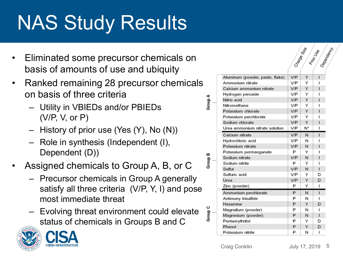# NAS Study Results

- Eliminated some precursor chemicals on basis of amounts of use and ubiquity
- Ranked remaining 28 precursor chemicals on basis of three criteria
	- Utility in VBIEDs and/or PBIEDs (V/P, V, or P)
	- History of prior use (Yes (Y), No (N))
	- Role in synthesis (Independent (I), Dependent (D))
- Assigned chemicals to Group A, B, or C
	- Precursor chemicals in Group A generally satisfy all three criteria (V/P, Y, I) and pose most immediate threat
	- Evolving threat environment could elevate status of chemicals in Groups B and C





|                                 | Charge by |    | Prior Us<br>Dependence |  |
|---------------------------------|-----------|----|------------------------|--|
| Aluminum (powder, paste, flake) | V/P       | Y  | ı                      |  |
| Ammonium nitrate                | V/P       | Y  | ı                      |  |
| Calcium ammonium nitrate        | V/P       | Y  | ı                      |  |
| Hydrogen peroxide               | V/P       | Y  |                        |  |
| Nitric acid                     | V/P       | Y  | ı                      |  |
| Nitromethane                    | V/P       | Y  |                        |  |
| Potassium chlorate              | V/P       | Y  | ı                      |  |
| Potassium perchlorate           | V/P       | Ÿ  | ı                      |  |
| Sodium chlorate                 | V/P       | Y  | ı                      |  |
| Urea ammonium nitrate solution  | V/P       | N* | I                      |  |
| Calcium nitrate                 | V/P       | N  | $\mathsf{I}$           |  |
| Hydrochloric acid               | V/P       | Ń  |                        |  |
| Potassium nitrate               | V/P       | N  | ı                      |  |
| Potassium permanganate          | P         | Y  |                        |  |
| Sodium nitrate                  | V/P       | N  | ı                      |  |
| Sodium nitrite                  | P         | Ÿ  | ı                      |  |
| Sulfur                          | V/P       | N  | ı                      |  |
| Sulfuric acid                   | V/P       | Υ  | D                      |  |
| Urea                            | V/P       | Y  | D                      |  |
| Zinc (powder)                   | P         | Y  | I                      |  |
| Ammonium perchlorate            | P         | N  | $\mathbf{I}$           |  |
| Antimony trisulfide             | P         | N  | ı                      |  |
| Hexamine                        | P         | Y  | D                      |  |
| Magnalium (powder)              | P         | N  | ł                      |  |
| Magnesium (powder)              | P         | N  | ı                      |  |
| Pentaerythritol                 | P         | Y  | D                      |  |
| Phenol                          | P         | Y  | D                      |  |
| Potassium nitrite               | P         | N  | ı                      |  |

 $\forall$  dhoug

 $\frac{1}{2}$ 

Group C

∕.⊗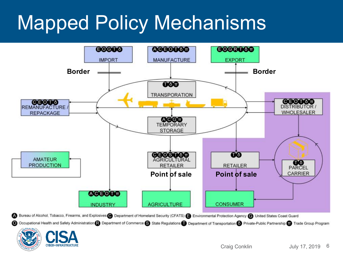### Mapped Policy Mechanisms



6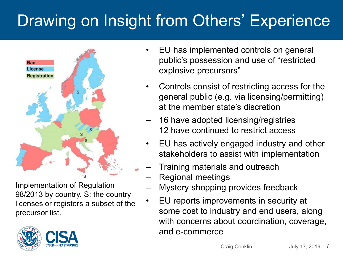### Drawing on Insight from Others' Experience



Implementation of Regulation 98/2013 by country. S: the country licenses or registers a subset of the precursor list.



- EU has implemented controls on general public's possession and use of "restricted explosive precursors"
- Controls consist of restricting access for the general public (e.g. via licensing/permitting) at the member state's discretion
- 16 have adopted licensing/registries
- 12 have continued to restrict access
- EU has actively engaged industry and other stakeholders to assist with implementation
- Training materials and outreach
- Regional meetings
- Mystery shopping provides feedback
- EU reports improvements in security at some cost to industry and end users, along with concerns about coordination, coverage, and e-commerce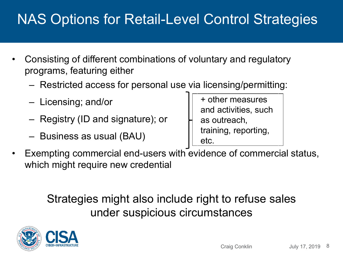### NAS Options for Retail-Level Control Strategies

- Consisting of different combinations of voluntary and regulatory programs, featuring either
	- Restricted access for personal use via licensing/permitting:
	- Licensing; and/or
	- Registry (ID and signature); or
	- Business as usual (BAU)

+ other measures and activities, such as outreach, training, reporting, etc.

• Exempting commercial end-users with evidence of commercial status, which might require new credential

> Strategies might also include right to refuse sales under suspicious circumstances

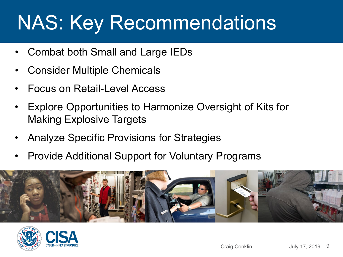### NAS: Key Recommendations

- Combat both Small and Large IEDs
- Consider Multiple Chemicals
- Focus on Retail-Level Access
- Explore Opportunities to Harmonize Oversight of Kits for Making Explosive Targets
- Analyze Specific Provisions for Strategies
- Provide Additional Support for Voluntary Programs



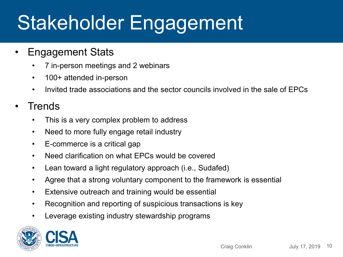## Stakeholder Engagement

- Engagement Stats
	- 7 in-person meetings and 2 webinars
	- 100+ attended in-person
	- Invited trade associations and the sector councils involved in the sale of FPCs

#### **Trends**

- This is a very complex problem to address
- Need to more fully engage retail industry
- E-commerce is a critical gap
- Need clarification on what EPCs would be covered
- Lean toward a light regulatory approach (i.e., Sudafed)
- Agree that a strong voluntary component to the framework is essential
- Extensive outreach and training would be essential
- Recognition and reporting of suspicious transactions is key
- Leverage existing industry stewardship programs